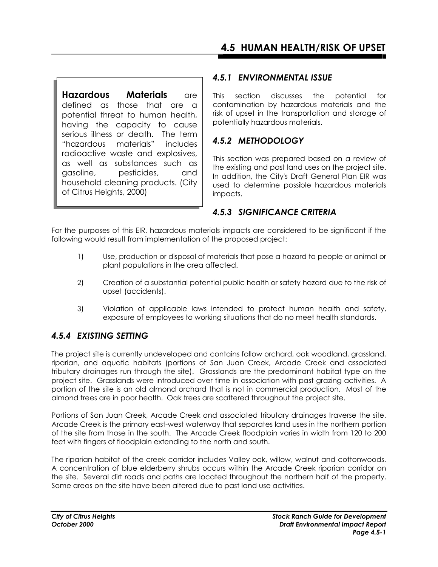**Hazardous Materials** are defined as those that are a potential threat to human health, having the capacity to cause serious illness or death. The term "hazardous materials" includes radioactive waste and explosives, as well as substances such as gasoline, pesticides, and household cleaning products. (City of Citrus Heights, 2000)

### *4.5.1 ENVIRONMENTAL ISSUE*

This section discusses the potential for contamination by hazardous materials and the risk of upset in the transportation and storage of potentially hazardous materials.

## *4.5.2 METHODOLOGY*

This section was prepared based on a review of the existing and past land uses on the project site. In addition, the City's Draft General Plan EIR was used to determine possible hazardous materials impacts.

### *4.5.3 SIGNIFICANCE CRITERIA*

For the purposes of this EIR, hazardous materials impacts are considered to be significant if the following would result from implementation of the proposed project:

- 1) Use, production or disposal of materials that pose a hazard to people or animal or plant populations in the area affected.
- 2) Creation of a substantial potential public health or safety hazard due to the risk of upset (accidents).
- 3) Violation of applicable laws intended to protect human health and safety, exposure of employees to working situations that do no meet health standards.

# *4.5.4 EXISTING SETTING*

The project site is currently undeveloped and contains fallow orchard, oak woodland, grassland, riparian, and aquatic habitats (portions of San Juan Creek, Arcade Creek and associated tributary drainages run through the site). Grasslands are the predominant habitat type on the project site. Grasslands were introduced over time in association with past grazing activities. A portion of the site is an old almond orchard that is not in commercial production. Most of the almond trees are in poor health. Oak trees are scattered throughout the project site.

Portions of San Juan Creek, Arcade Creek and associated tributary drainages traverse the site. Arcade Creek is the primary east-west waterway that separates land uses in the northern portion of the site from those in the south. The Arcade Creek floodplain varies in width from 120 to 200 feet with fingers of floodplain extending to the north and south.

The riparian habitat of the creek corridor includes Valley oak, willow, walnut and cottonwoods. A concentration of blue elderberry shrubs occurs within the Arcade Creek riparian corridor on the site. Several dirt roads and paths are located throughout the northern half of the property. Some areas on the site have been altered due to past land use activities.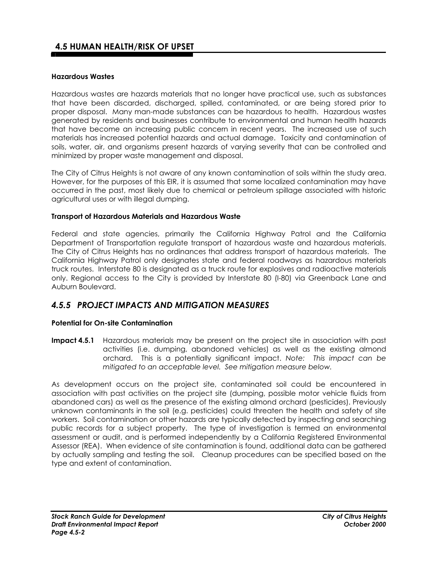#### **Hazardous Wastes**

Hazardous wastes are hazards materials that no longer have practical use, such as substances that have been discarded, discharged, spilled, contaminated, or are being stored prior to proper disposal. Many man-made substances can be hazardous to health. Hazardous wastes generated by residents and businesses contribute to environmental and human health hazards that have become an increasing public concern in recent years. The increased use of such materials has increased potential hazards and actual damage. Toxicity and contamination of soils, water, air, and organisms present hazards of varying severity that can be controlled and minimized by proper waste management and disposal.

The City of Citrus Heights is not aware of any known contamination of soils within the study area. However, for the purposes of this EIR, it is assumed that some localized contamination may have occurred in the past, most likely due to chemical or petroleum spillage associated with historic agricultural uses or with illegal dumping.

#### **Transport of Hazardous Materials and Hazardous Waste**

Federal and state agencies, primarily the California Highway Patrol and the California Department of Transportation regulate transport of hazardous waste and hazardous materials. The City of Citrus Heights has no ordinances that address transport of hazardous materials. The California Highway Patrol only designates state and federal roadways as hazardous materials truck routes. Interstate 80 is designated as a truck route for explosives and radioactive materials only. Regional access to the City is provided by Interstate 80 (I-80) via Greenback Lane and Auburn Boulevard.

### *4.5.5 PROJECT IMPACTS AND MITIGATION MEASURES*

#### **Potential for On-site Contamination**

**Impact 4.5.1** Hazardous materials may be present on the project site in association with past activities (i.e. dumping, abandoned vehicles) as well as the existing almond orchard. This is a potentially significant impact. *Note: This impact can be mitigated to an acceptable level. See mitigation measure below.* 

As development occurs on the project site, contaminated soil could be encountered in association with past activities on the project site (dumping, possible motor vehicle fluids from abandoned cars) as well as the presence of the existing almond orchard (pesticides). Previously unknown contaminants in the soil (e.g. pesticides) could threaten the health and safety of site workers. Soil contamination or other hazards are typically detected by inspecting and searching public records for a subject property. The type of investigation is termed an environmental assessment or audit, and is performed independently by a California Registered Environmental Assessor (REA). When evidence of site contamination is found, additional data can be gathered by actually sampling and testing the soil. Cleanup procedures can be specified based on the type and extent of contamination.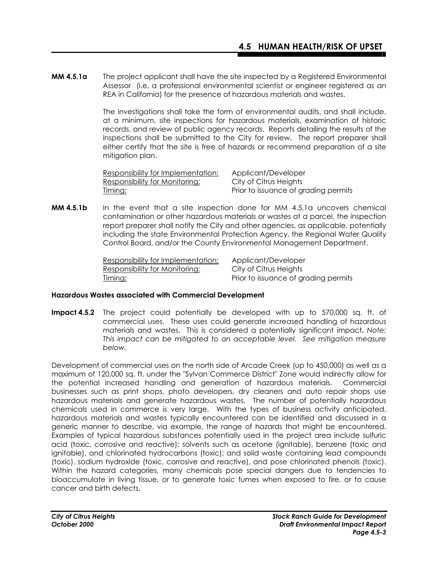**MM 4.5.1a** The project applicant shall have the site inspected by a Registered Environmental Assessor (i.e. a professional environmental scientist or engineer registered as an REA in California) for the presence of hazardous materials and wastes.

> The investigations shall take the form of environmental audits, and shall include, at a minimum, site inspections for hazardous materials, examination of historic records, and review of public agency records. Reports detailing the results of the inspections shall be submitted to the City for review. The report preparer shall either certify that the site is free of hazards or recommend preparation of a site mitigation plan.

Responsibility for Implementation: Applicant/Developer Responsibility for Monitoring: City of Citrus Heights Timing:Prior to issuance of grading permits

**MM 4.5.1b** In the event that a site inspection done for MM 4.5.1a uncovers chemical contamination or other hazardous materials or wastes at a parcel, the inspection report preparer shall notify the City and other agencies, as applicable, potentially including the state Environmental Protection Agency, the Regional Water Quality Control Board, and/or the County Environmental Management Department.

| Responsibility for Implementation: | Applicant/Developer                  |
|------------------------------------|--------------------------------------|
| Responsibility for Monitoring:     | City of Citrus Heights               |
| <u>Timing:</u>                     | Prior to issuance of grading permits |

#### **Hazardous Wastes associated with Commercial Development**

**Impact 4.5.2** The project could potentially be developed with up to 570,000 sq. ft. of commercial uses. These uses could generate increased handling of hazardous materials and wastes. This is considered a potentially significant impact**.** *Note: This impact can be mitigated to an acceptable level. See mitigation measure below.* 

Development of commercial uses on the north side of Arcade Creek (up to 450,000) as well as a maximum of 120,000 sq. ft. under the "Sylvan Commerce District" Zone would indirectly allow for the potential increased handling and generation of hazardous materials. Commercial businesses such as print shops, photo developers, dry cleaners and auto repair shops use hazardous materials and generate hazardous wastes. The number of potentially hazardous chemicals used in commerce is very large. With the types of business activity anticipated, hazardous materials and wastes typically encountered can be identified and discussed in a generic manner to describe, via example, the range of hazards that might be encountered. Examples of typical hazardous substances potentially used in the project area include sulfuric acid (toxic, corrosive and reactive); solvents such as acetone (ignitable), benzene (toxic and ignitable), and chlorinated hydrocarbons (toxic); and solid waste containing lead compounds (toxic), sodium hydroxide (toxic, corrosive and reactive), and pose chlorinated phenols (toxic). Within the hazard categories, many chemicals pose special dangers due to tendencies to bioaccumulate in living tissue, or to generate toxic fumes when exposed to fire, or to cause cancer and birth defects.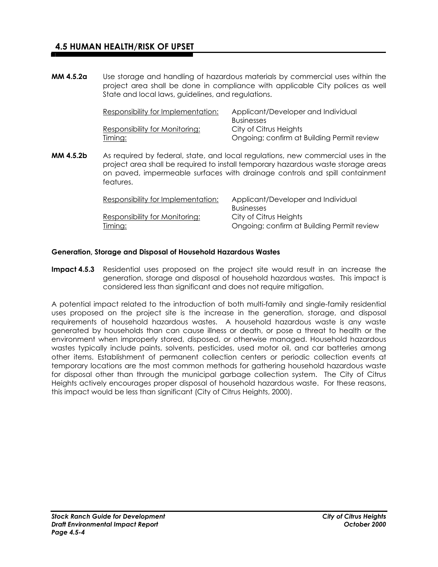**MM 4.5.2a** Use storage and handling of hazardous materials by commercial uses within the project area shall be done in compliance with applicable City polices as well State and local laws, guidelines, and regulations.

| Responsibility for Implementation:    | Applicant/Developer and Individual<br><b>Businesses</b> |
|---------------------------------------|---------------------------------------------------------|
| <b>Responsibility for Monitoring:</b> | City of Citrus Heights                                  |
| <u>Timing:</u>                        | Ongoing; confirm at Building Permit review              |

**MM 4.5.2b** As required by federal, state, and local regulations, new commercial uses in the project area shall be required to install temporary hazardous waste storage areas on paved, impermeable surfaces with drainage controls and spill containment features.

| Responsibility for Implementation: | Applicant/Developer and Individual         |
|------------------------------------|--------------------------------------------|
|                                    | <b>Businesses</b>                          |
| Responsibility for Monitoring:     | City of Citrus Heights                     |
| <u>Timing:</u>                     | Ongoing; confirm at Building Permit review |

#### **Generation, Storage and Disposal of Household Hazardous Wastes**

**Impact 4.5.3** Residential uses proposed on the project site would result in an increase the generation, storage and disposal of household hazardous wastes. This impact is considered less than significant and does not require mitigation.

A potential impact related to the introduction of both multi-family and single-family residential uses proposed on the project site is the increase in the generation, storage, and disposal requirements of household hazardous wastes. A household hazardous waste is any waste generated by households than can cause illness or death, or pose a threat to health or the environment when improperly stored, disposed, or otherwise managed. Household hazardous wastes typically include paints, solvents, pesticides, used motor oil, and car batteries among other items. Establishment of permanent collection centers or periodic collection events at temporary locations are the most common methods for gathering household hazardous waste for disposal other than through the municipal garbage collection system. The City of Citrus Heights actively encourages proper disposal of household hazardous waste. For these reasons, this impact would be less than significant (City of Citrus Heights, 2000).